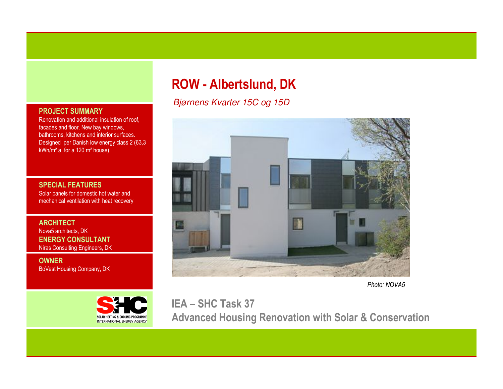#### PROJECT SUMMARY

 Renovation and additional insulation of roof, facades and floor. New bay windows, bathrooms, kitchens and interior surfaces. Designed per Danish low energy class 2 (63,3 kWh/m² a for a 120 m² house).

#### SPECIAL FEATURES

 Solar panels for domestic hot water and mechanical ventilation with heat recovery

**ARCHITECT**  Nova5 architects, DK ENERGY CONSULTANTNiras Consulting Engineers, DK

OWNERBoVest Housing Company, DK



# ROW - Albertslund, DK

Bjørnens Kvarter 15C og 15D



Photo: NOVA5

IEA – SHC Task 37 Advanced Housing Renovation with Solar & Conservation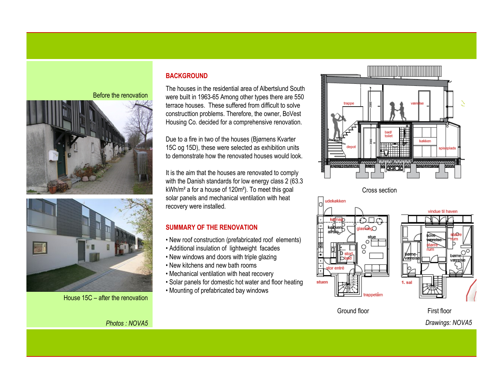#### Before the renovation





House 15C – after the renovation

Photos : NOVA5

#### **BACKGROUND**

The houses in the residential area of Albertslund South were built in 1963-65 Among other types there are 550 terrace houses. These suffered from difficult to solve constructtion problems. Therefore, the owner, BoVest Housing Co. decided for a comprehensive renovation.

Due to a fire in two of the houses (Bjørnens Kvarter 15C og 15D), these were selected as exhibition units to demonstrate how the renovated houses would look.

It is the aim that the houses are renovated to comply with the Danish standards for low energy class 2 (63.3 kWh/m² a for a house of 120m²). To meet this goal solar panels and mechanical ventilation with heat recovery were installed.

# SUMMARY OF THE RENOVATION

- New roof construction (prefabricated roof elements)
- Additional insulation of lightweight facades
- New windows and doors with triple glazing
- New kitchens and new bath rooms
- Mechanical ventilation with heat recovery
- Solar panels for domestic hot water and floor heating
- Mounting of prefabricated bay windows



Cross section



# vindue til haven 1. sal

Ground floor

First floorDrawings: NOVA5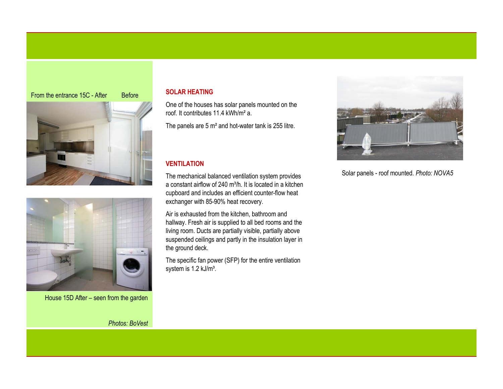



House 15D After – seen from the garden

Photos: BoVest

# SOLAR HEATING

One of the houses has solar panels mounted on the roof. It contributes 11.4 kWh/m² a.

The panels are 5 m² and hot-water tank is 255 litre.

# VENTILATION

The mechanical balanced ventilation system providesa constant airflow of 240 m<sup>3</sup>/h. It is located in a kitchen cupboard and includes an efficient counter-flow heat exchanger with 85-90% heat recovery.

Air is exhausted from the kitchen, bathroom and hallway. Fresh air is supplied to all bed rooms and the living room. Ducts are partially visible, partially above suspended ceilings and partly in the insulation layer in the ground deck.

The specific fan power (SFP) for the entire ventilation system is 1.2 kJ/m<sup>3</sup>.



Solar panels - roof mounted. Photo: NOVA5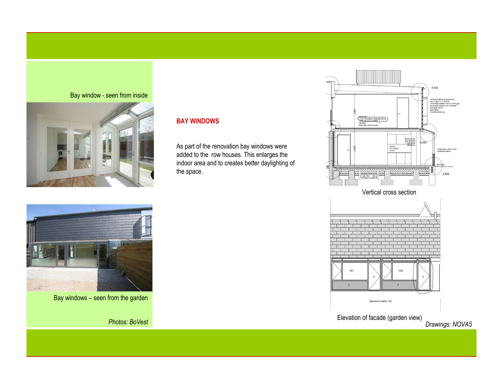#### Bay window - seen from inside



# BAY WINDOWS

As part of the renovation bay windows were added to the row houses. This enlarges the indoor area and to creates better daylighting of the space.







Elevation of facade (garden view)

Drawings: NOVA5



Photos: BoVest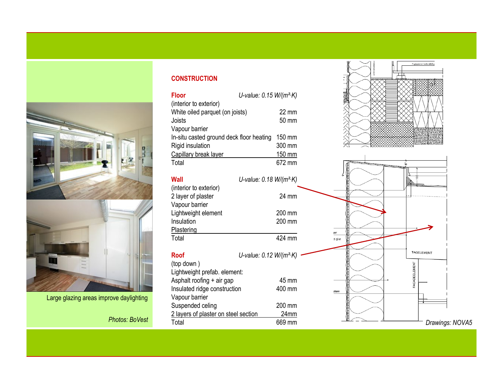

Large glazing areas improve daylighting

# **CONSTRUCTION**

| Floor                                    | U-value: 0.15 W/(m <sup>2</sup> ·K) |                 |
|------------------------------------------|-------------------------------------|-----------------|
| (interior to exterior)                   |                                     |                 |
| White oiled parquet (on joists)          |                                     | $22 \text{ mm}$ |
| Joists                                   |                                     | 50 mm           |
| Vapour barrier                           |                                     |                 |
| In-situ casted ground deck floor heating |                                     | 150 mm          |
| Rigid insulation                         |                                     | 300 mm          |
| Capillary break layer                    |                                     | 150 mm          |
| Total                                    |                                     | 672 mm          |
|                                          |                                     |                 |

| Wall                                                           | U-value: $0.18 W/(m^2 K)$    |
|----------------------------------------------------------------|------------------------------|
| (interior to exterior)<br>2 layer of plaster<br>Vapour barrier | 24 mm                        |
| Lightweight element<br>Insulation                              | 200 mm<br>200 mm             |
| Plastering<br>Total                                            | 424 mm                       |
| Roof                                                           | U-value: $0.12$ W/( $m^2$ K) |

| <b>INGELEMENT</b> | U-value: $0.12 W/(m^2 K)$ – | <b>Roof</b>                          |                         |
|-------------------|-----------------------------|--------------------------------------|-------------------------|
|                   |                             | (top down)                           |                         |
|                   |                             | Lightweight prefab. element:         |                         |
|                   | 45 mm                       | Asphalt roofing + air gap            |                         |
| stem              | 400 mm                      | Insulated ridge construction         |                         |
|                   |                             | Vapour barrier                       | rove daylighting        |
|                   | 200 mm                      | Suspended celing                     |                         |
|                   | 24mm                        | 2 layers of plaster on steel section | Photos: BoVest<br>Total |
| Drawings: NOVA5   | 669 mm                      |                                      |                         |
|                   |                             |                                      |                         |